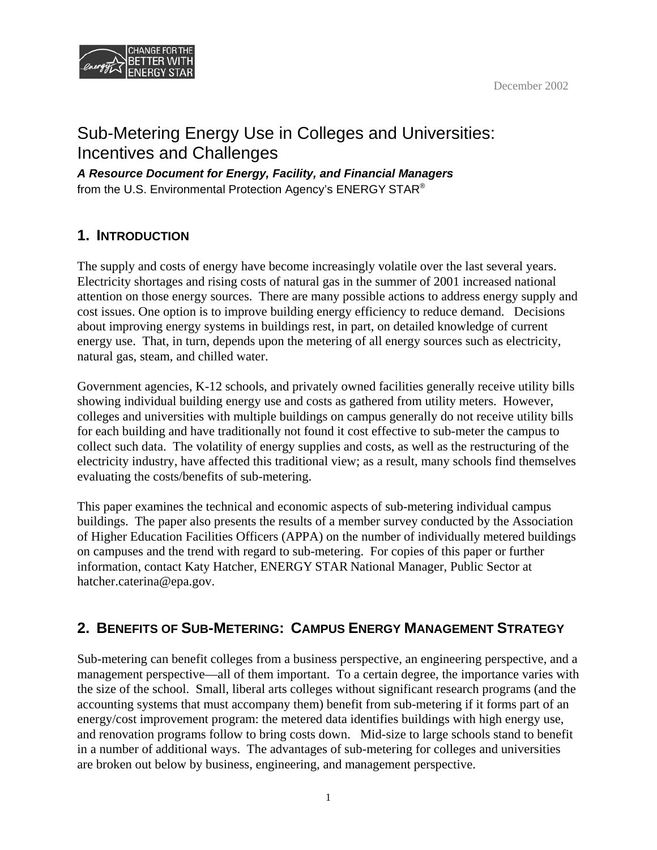



# Sub-Metering Energy Use in Colleges and Universities: Incentives and Challenges

*A Resource Document for Energy, Facility, and Financial Managers*  from the U.S. Environmental Protection Agency's ENERGY STAR®

## **1. INTRODUCTION**

The supply and costs of energy have become increasingly volatile over the last several years. Electricity shortages and rising costs of natural gas in the summer of 2001 increased national attention on those energy sources. There are many possible actions to address energy supply and cost issues. One option is to improve building energy efficiency to reduce demand. Decisions about improving energy systems in buildings rest, in part, on detailed knowledge of current energy use. That, in turn, depends upon the metering of all energy sources such as electricity, natural gas, steam, and chilled water.

Government agencies, K-12 schools, and privately owned facilities generally receive utility bills showing individual building energy use and costs as gathered from utility meters. However, colleges and universities with multiple buildings on campus generally do not receive utility bills for each building and have traditionally not found it cost effective to sub-meter the campus to collect such data. The volatility of energy supplies and costs, as well as the restructuring of the electricity industry, have affected this traditional view; as a result, many schools find themselves evaluating the costs/benefits of sub-metering.

This paper examines the technical and economic aspects of sub-metering individual campus buildings. The paper also presents the results of a member survey conducted by the Association of Higher Education Facilities Officers (APPA) on the number of individually metered buildings on campuses and the trend with regard to sub-metering. For copies of this paper or further information, contact Katy Hatcher, ENERGY STAR National Manager, Public Sector at hatcher.caterina@epa.gov.

## **2. BENEFITS OF SUB-METERING: CAMPUS ENERGY MANAGEMENT STRATEGY**

Sub-metering can benefit colleges from a business perspective, an engineering perspective, and a management perspective—all of them important. To a certain degree, the importance varies with the size of the school. Small, liberal arts colleges without significant research programs (and the accounting systems that must accompany them) benefit from sub-metering if it forms part of an energy/cost improvement program: the metered data identifies buildings with high energy use, and renovation programs follow to bring costs down. Mid-size to large schools stand to benefit in a number of additional ways. The advantages of sub-metering for colleges and universities are broken out below by business, engineering, and management perspective.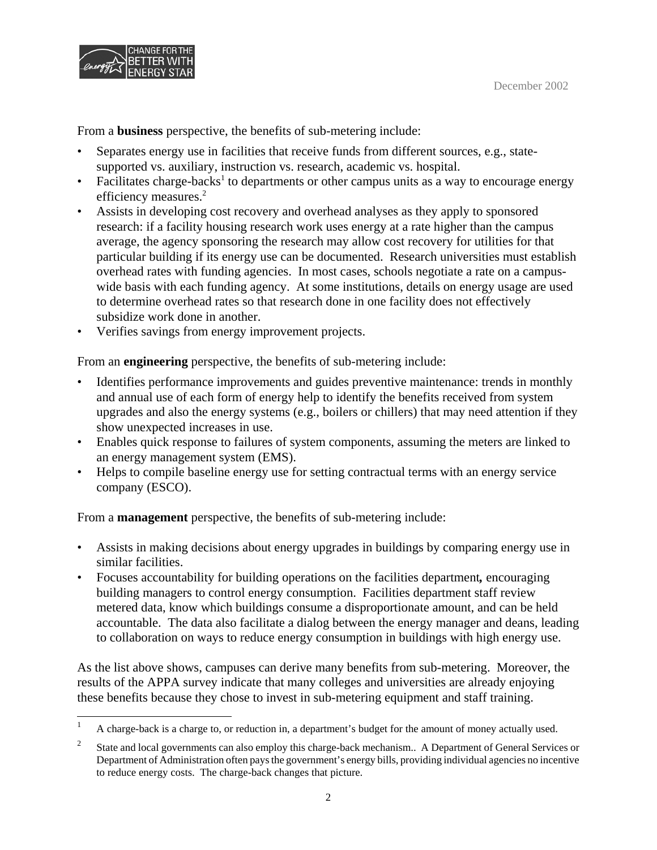

From a **business** perspective, the benefits of sub-metering include:

- Separates energy use in facilities that receive funds from different sources, e.g., statesupported vs. auxiliary, instruction vs. research, academic vs. hospital.
- Facilitates charge-backs<sup>1</sup> to departments or other campus units as a way to encourage energy efficiency measures.<sup>2</sup>
- Assists in developing cost recovery and overhead analyses as they apply to sponsored research: if a facility housing research work uses energy at a rate higher than the campus average, the agency sponsoring the research may allow cost recovery for utilities for that particular building if its energy use can be documented. Research universities must establish overhead rates with funding agencies. In most cases, schools negotiate a rate on a campuswide basis with each funding agency. At some institutions, details on energy usage are used to determine overhead rates so that research done in one facility does not effectively subsidize work done in another.
- Verifies savings from energy improvement projects.

From an **engineering** perspective, the benefits of sub-metering include:

- Identifies performance improvements and guides preventive maintenance: trends in monthly and annual use of each form of energy help to identify the benefits received from system upgrades and also the energy systems (e.g., boilers or chillers) that may need attention if they show unexpected increases in use.
- Enables quick response to failures of system components, assuming the meters are linked to an energy management system (EMS).
- Helps to compile baseline energy use for setting contractual terms with an energy service company (ESCO).

From a **management** perspective, the benefits of sub-metering include:

- Assists in making decisions about energy upgrades in buildings by comparing energy use in similar facilities.
- Focuses accountability for building operations on the facilities department*,* encouraging building managers to control energy consumption. Facilities department staff review metered data, know which buildings consume a disproportionate amount, and can be held accountable. The data also facilitate a dialog between the energy manager and deans, leading to collaboration on ways to reduce energy consumption in buildings with high energy use.

As the list above shows, campuses can derive many benefits from sub-metering. Moreover, the results of the APPA survey indicate that many colleges and universities are already enjoying these benefits because they chose to invest in sub-metering equipment and staff training.

<sup>&</sup>lt;sup>1</sup> A charge-back is a charge to, or reduction in, a department's budget for the amount of money actually used.

<sup>&</sup>lt;sup>2</sup> State and local governments can also employ this charge-back mechanism.. A Department of General Services or Department of Administration often pays the government's energy bills, providing individual agencies no incentive to reduce energy costs. The charge-back changes that picture.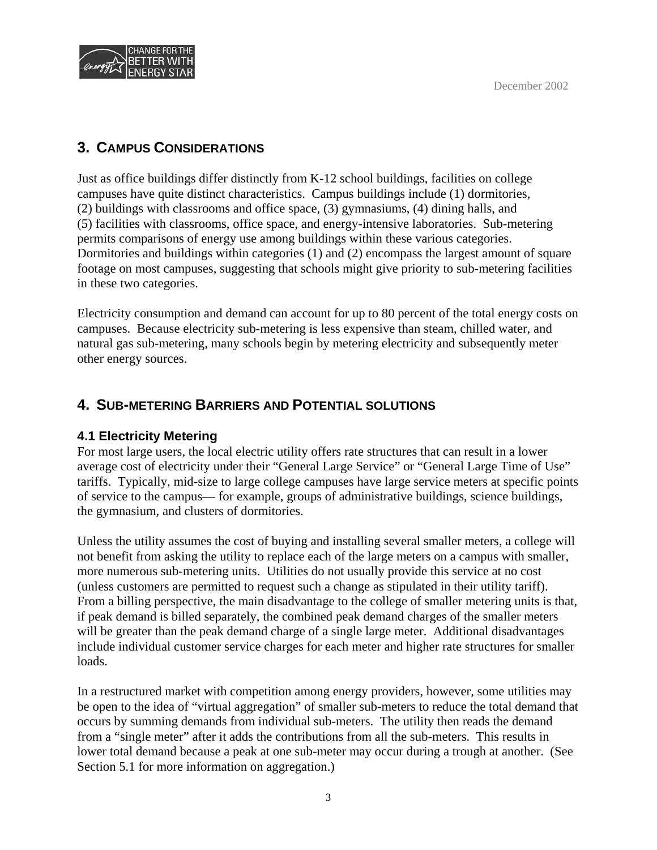

## **3. CAMPUS CONSIDERATIONS**

Just as office buildings differ distinctly from K-12 school buildings, facilities on college campuses have quite distinct characteristics. Campus buildings include (1) dormitories, (2) buildings with classrooms and office space, (3) gymnasiums, (4) dining halls, and (5) facilities with classrooms, office space, and energy-intensive laboratories. Sub-metering permits comparisons of energy use among buildings within these various categories. Dormitories and buildings within categories (1) and (2) encompass the largest amount of square footage on most campuses, suggesting that schools might give priority to sub-metering facilities in these two categories.

Electricity consumption and demand can account for up to 80 percent of the total energy costs on campuses. Because electricity sub-metering is less expensive than steam, chilled water, and natural gas sub-metering, many schools begin by metering electricity and subsequently meter other energy sources.

## **4. SUB-METERING BARRIERS AND POTENTIAL SOLUTIONS**

## **4.1 Electricity Metering**

For most large users, the local electric utility offers rate structures that can result in a lower average cost of electricity under their "General Large Service" or "General Large Time of Use" tariffs. Typically, mid-size to large college campuses have large service meters at specific points of service to the campus— for example, groups of administrative buildings, science buildings, the gymnasium, and clusters of dormitories.

Unless the utility assumes the cost of buying and installing several smaller meters, a college will not benefit from asking the utility to replace each of the large meters on a campus with smaller, more numerous sub-metering units. Utilities do not usually provide this service at no cost (unless customers are permitted to request such a change as stipulated in their utility tariff). From a billing perspective, the main disadvantage to the college of smaller metering units is that, if peak demand is billed separately, the combined peak demand charges of the smaller meters will be greater than the peak demand charge of a single large meter. Additional disadvantages include individual customer service charges for each meter and higher rate structures for smaller loads.

In a restructured market with competition among energy providers, however, some utilities may be open to the idea of "virtual aggregation" of smaller sub-meters to reduce the total demand that occurs by summing demands from individual sub-meters. The utility then reads the demand from a "single meter" after it adds the contributions from all the sub-meters. This results in lower total demand because a peak at one sub-meter may occur during a trough at another. (See Section 5.1 for more information on aggregation.)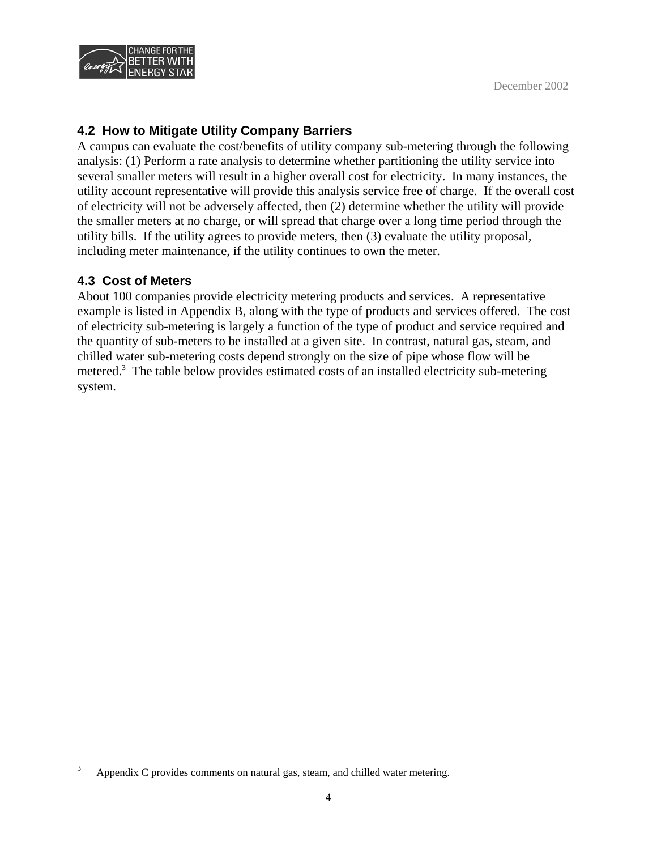

### **4.2 How to Mitigate Utility Company Barriers**

A campus can evaluate the cost/benefits of utility company sub-metering through the following analysis: (1) Perform a rate analysis to determine whether partitioning the utility service into several smaller meters will result in a higher overall cost for electricity. In many instances, the utility account representative will provide this analysis service free of charge. If the overall cost of electricity will not be adversely affected, then (2) determine whether the utility will provide the smaller meters at no charge, or will spread that charge over a long time period through the utility bills. If the utility agrees to provide meters, then (3) evaluate the utility proposal, including meter maintenance, if the utility continues to own the meter.

#### **4.3 Cost of Meters**

About 100 companies provide electricity metering products and services. A representative example is listed in Appendix B, along with the type of products and services offered. The cost of electricity sub-metering is largely a function of the type of product and service required and the quantity of sub-meters to be installed at a given site. In contrast, natural gas, steam, and chilled water sub-metering costs depend strongly on the size of pipe whose flow will be metered.<sup>3</sup> The table below provides estimated costs of an installed electricity sub-metering system.

Appendix C provides comments on natural gas, steam, and chilled water metering. 3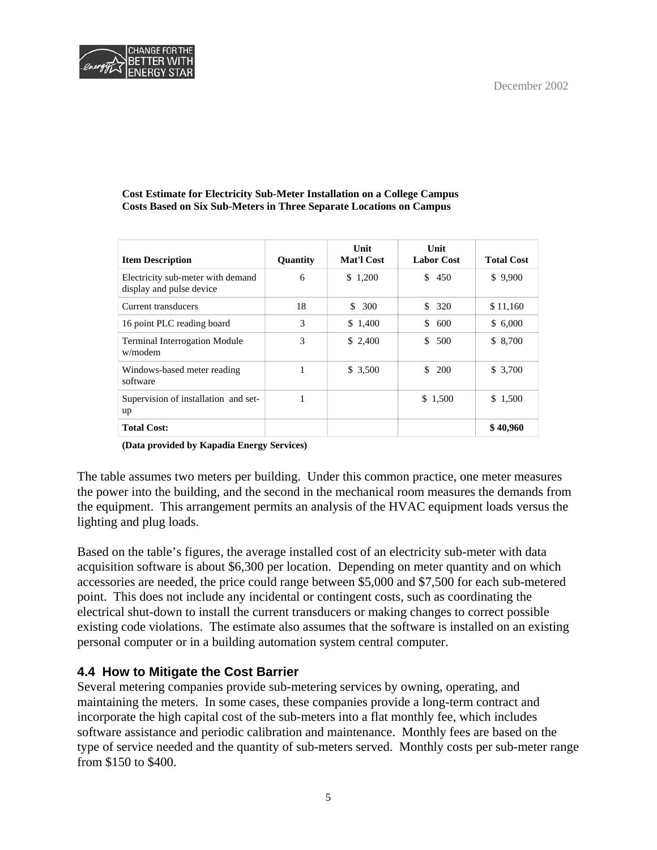

#### **Cost Estimate for Electricity Sub-Meter Installation on a College Campus Costs Based on Six Sub-Meters in Three Separate Locations on Campus**

| <b>Item Description</b>                                       | Quantity | Unit<br><b>Mat'l Cost</b> | <b>Unit</b><br><b>Labor Cost</b> | <b>Total Cost</b> |
|---------------------------------------------------------------|----------|---------------------------|----------------------------------|-------------------|
| Electricity sub-meter with demand<br>display and pulse device | 6        | \$1,200                   | \$450                            | \$9,900           |
| Current transducers                                           | 18       | 300<br>\$                 | 320<br>\$.                       | \$11,160          |
| 16 point PLC reading board                                    | 3        | \$1,400                   | \$<br>600                        | \$6,000           |
| <b>Terminal Interrogation Module</b><br>w/modem               | 3        | \$2,400                   | \$<br>500                        | \$ 8,700          |
| Windows-based meter reading<br>software                       |          | \$3,500                   | 200<br>\$.                       | \$3,700           |
| Supervision of installation and set-<br>up                    |          |                           | \$1,500                          | \$1,500           |
| <b>Total Cost:</b>                                            |          |                           |                                  | \$40,960          |

**(Data provided by Kapadia Energy Services)** 

The table assumes two meters per building. Under this common practice, one meter measures the power into the building, and the second in the mechanical room measures the demands from the equipment. This arrangement permits an analysis of the HVAC equipment loads versus the lighting and plug loads.

Based on the table's figures, the average installed cost of an electricity sub-meter with data acquisition software is about \$6,300 per location. Depending on meter quantity and on which accessories are needed, the price could range between \$5,000 and \$7,500 for each sub-metered point. This does not include any incidental or contingent costs, such as coordinating the electrical shut-down to install the current transducers or making changes to correct possible existing code violations. The estimate also assumes that the software is installed on an existing personal computer or in a building automation system central computer.

## **4.4 How to Mitigate the Cost Barrier**

Several metering companies provide sub-metering services by owning, operating, and maintaining the meters. In some cases, these companies provide a long-term contract and incorporate the high capital cost of the sub-meters into a flat monthly fee, which includes software assistance and periodic calibration and maintenance. Monthly fees are based on the type of service needed and the quantity of sub-meters served. Monthly costs per sub-meter range from \$150 to \$400.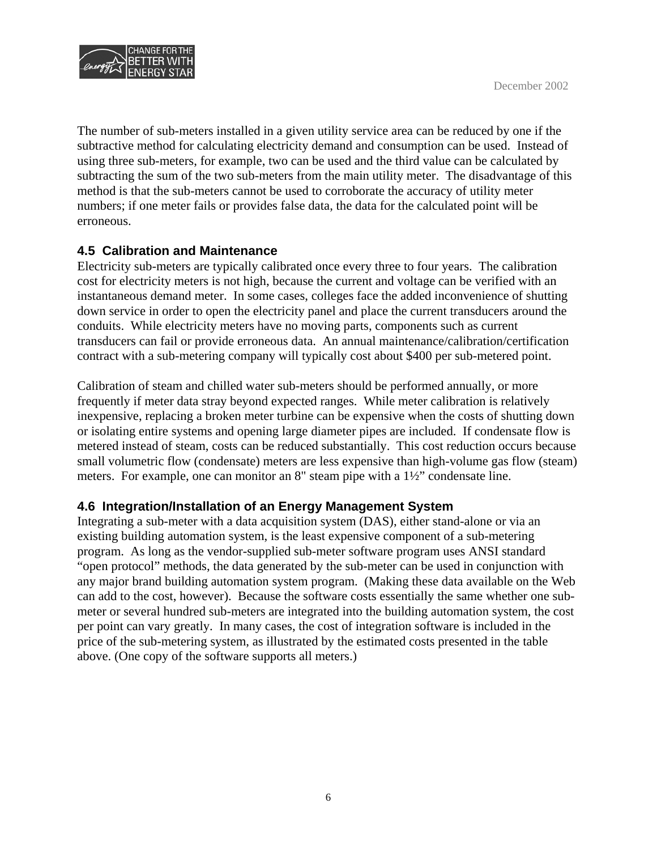

The number of sub-meters installed in a given utility service area can be reduced by one if the subtractive method for calculating electricity demand and consumption can be used. Instead of using three sub-meters, for example, two can be used and the third value can be calculated by subtracting the sum of the two sub-meters from the main utility meter. The disadvantage of this method is that the sub-meters cannot be used to corroborate the accuracy of utility meter numbers; if one meter fails or provides false data, the data for the calculated point will be erroneous.

#### **4.5 Calibration and Maintenance**

Electricity sub-meters are typically calibrated once every three to four years. The calibration cost for electricity meters is not high, because the current and voltage can be verified with an instantaneous demand meter. In some cases, colleges face the added inconvenience of shutting down service in order to open the electricity panel and place the current transducers around the conduits. While electricity meters have no moving parts, components such as current transducers can fail or provide erroneous data. An annual maintenance/calibration/certification contract with a sub-metering company will typically cost about \$400 per sub-metered point.

Calibration of steam and chilled water sub-meters should be performed annually, or more frequently if meter data stray beyond expected ranges. While meter calibration is relatively inexpensive, replacing a broken meter turbine can be expensive when the costs of shutting down or isolating entire systems and opening large diameter pipes are included. If condensate flow is metered instead of steam, costs can be reduced substantially. This cost reduction occurs because small volumetric flow (condensate) meters are less expensive than high-volume gas flow (steam) meters. For example, one can monitor an 8" steam pipe with a 1½" condensate line.

#### **4.6 Integration/Installation of an Energy Management System**

Integrating a sub-meter with a data acquisition system (DAS), either stand-alone or via an existing building automation system, is the least expensive component of a sub-metering program. As long as the vendor-supplied sub-meter software program uses ANSI standard "open protocol" methods, the data generated by the sub-meter can be used in conjunction with any major brand building automation system program. (Making these data available on the Web can add to the cost, however). Because the software costs essentially the same whether one submeter or several hundred sub-meters are integrated into the building automation system, the cost per point can vary greatly. In many cases, the cost of integration software is included in the price of the sub-metering system, as illustrated by the estimated costs presented in the table above. (One copy of the software supports all meters.)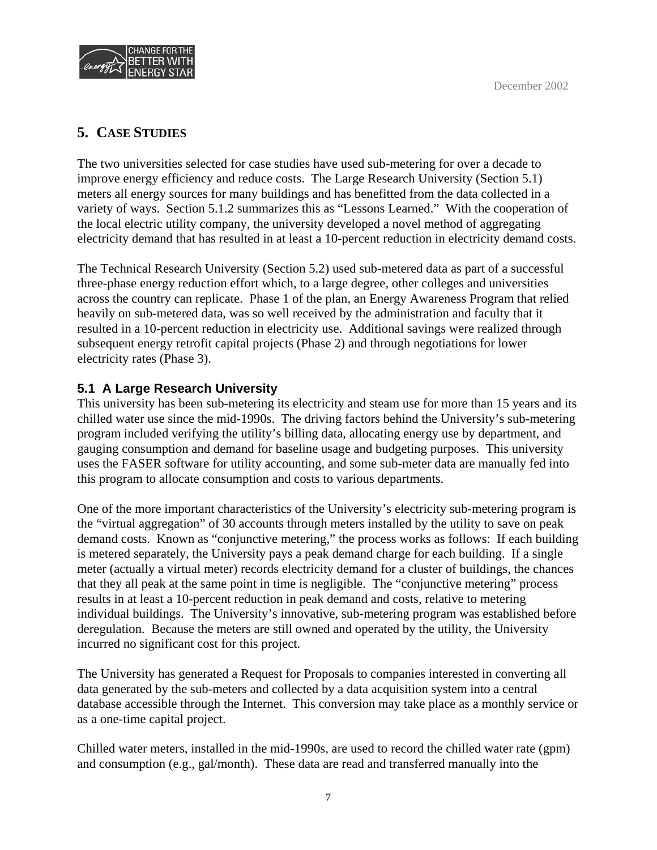

## **5. CASE STUDIES**

The two universities selected for case studies have used sub-metering for over a decade to improve energy efficiency and reduce costs. The Large Research University (Section 5.1) meters all energy sources for many buildings and has benefitted from the data collected in a variety of ways. Section 5.1.2 summarizes this as "Lessons Learned." With the cooperation of the local electric utility company, the university developed a novel method of aggregating electricity demand that has resulted in at least a 10-percent reduction in electricity demand costs.

The Technical Research University (Section 5.2) used sub-metered data as part of a successful three-phase energy reduction effort which, to a large degree, other colleges and universities across the country can replicate. Phase 1 of the plan, an Energy Awareness Program that relied heavily on sub-metered data, was so well received by the administration and faculty that it resulted in a 10-percent reduction in electricity use. Additional savings were realized through subsequent energy retrofit capital projects (Phase 2) and through negotiations for lower electricity rates (Phase 3).

## **5.1 A Large Research University**

This university has been sub-metering its electricity and steam use for more than 15 years and its chilled water use since the mid-1990s. The driving factors behind the University's sub-metering program included verifying the utility's billing data, allocating energy use by department, and gauging consumption and demand for baseline usage and budgeting purposes. This university uses the FASER software for utility accounting, and some sub-meter data are manually fed into this program to allocate consumption and costs to various departments.

One of the more important characteristics of the University's electricity sub-metering program is the "virtual aggregation" of 30 accounts through meters installed by the utility to save on peak demand costs. Known as "conjunctive metering," the process works as follows: If each building is metered separately, the University pays a peak demand charge for each building. If a single meter (actually a virtual meter) records electricity demand for a cluster of buildings, the chances that they all peak at the same point in time is negligible. The "conjunctive metering" process results in at least a 10-percent reduction in peak demand and costs, relative to metering individual buildings. The University's innovative, sub-metering program was established before deregulation. Because the meters are still owned and operated by the utility, the University incurred no significant cost for this project.

The University has generated a Request for Proposals to companies interested in converting all data generated by the sub-meters and collected by a data acquisition system into a central database accessible through the Internet. This conversion may take place as a monthly service or as a one-time capital project.

Chilled water meters, installed in the mid-1990s, are used to record the chilled water rate (gpm) and consumption (e.g., gal/month). These data are read and transferred manually into the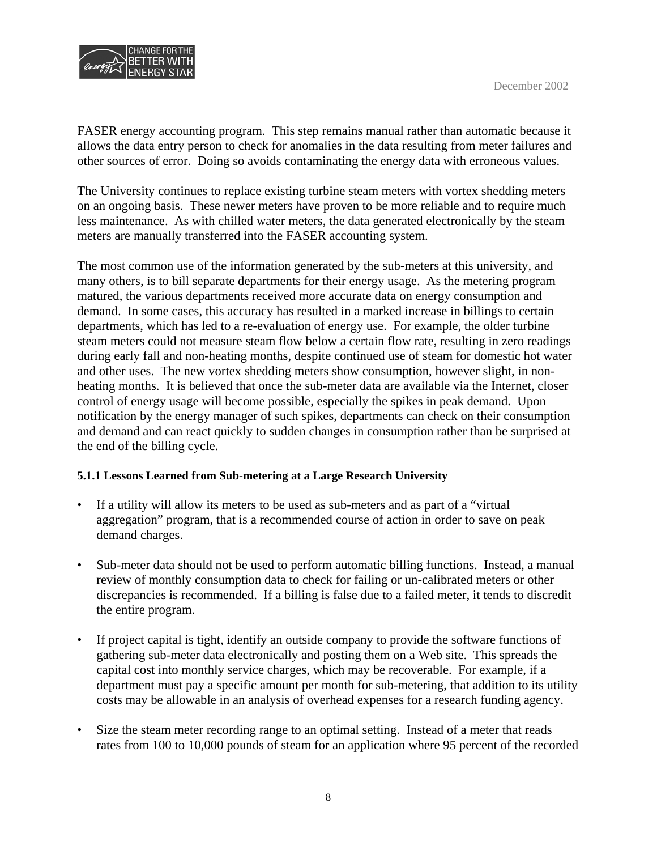

FASER energy accounting program. This step remains manual rather than automatic because it allows the data entry person to check for anomalies in the data resulting from meter failures and other sources of error. Doing so avoids contaminating the energy data with erroneous values.

The University continues to replace existing turbine steam meters with vortex shedding meters on an ongoing basis. These newer meters have proven to be more reliable and to require much less maintenance. As with chilled water meters, the data generated electronically by the steam meters are manually transferred into the FASER accounting system.

The most common use of the information generated by the sub-meters at this university, and many others, is to bill separate departments for their energy usage. As the metering program matured, the various departments received more accurate data on energy consumption and demand. In some cases, this accuracy has resulted in a marked increase in billings to certain departments, which has led to a re-evaluation of energy use. For example, the older turbine steam meters could not measure steam flow below a certain flow rate, resulting in zero readings during early fall and non-heating months, despite continued use of steam for domestic hot water and other uses. The new vortex shedding meters show consumption, however slight, in nonheating months. It is believed that once the sub-meter data are available via the Internet, closer control of energy usage will become possible, especially the spikes in peak demand. Upon notification by the energy manager of such spikes, departments can check on their consumption and demand and can react quickly to sudden changes in consumption rather than be surprised at the end of the billing cycle.

#### **5.1.1 Lessons Learned from Sub-metering at a Large Research University**

- If a utility will allow its meters to be used as sub-meters and as part of a "virtual" aggregation" program, that is a recommended course of action in order to save on peak demand charges.
- Sub-meter data should not be used to perform automatic billing functions. Instead, a manual review of monthly consumption data to check for failing or un-calibrated meters or other discrepancies is recommended. If a billing is false due to a failed meter, it tends to discredit the entire program.
- If project capital is tight, identify an outside company to provide the software functions of gathering sub-meter data electronically and posting them on a Web site. This spreads the capital cost into monthly service charges, which may be recoverable. For example, if a department must pay a specific amount per month for sub-metering, that addition to its utility costs may be allowable in an analysis of overhead expenses for a research funding agency.
- Size the steam meter recording range to an optimal setting. Instead of a meter that reads rates from 100 to 10,000 pounds of steam for an application where 95 percent of the recorded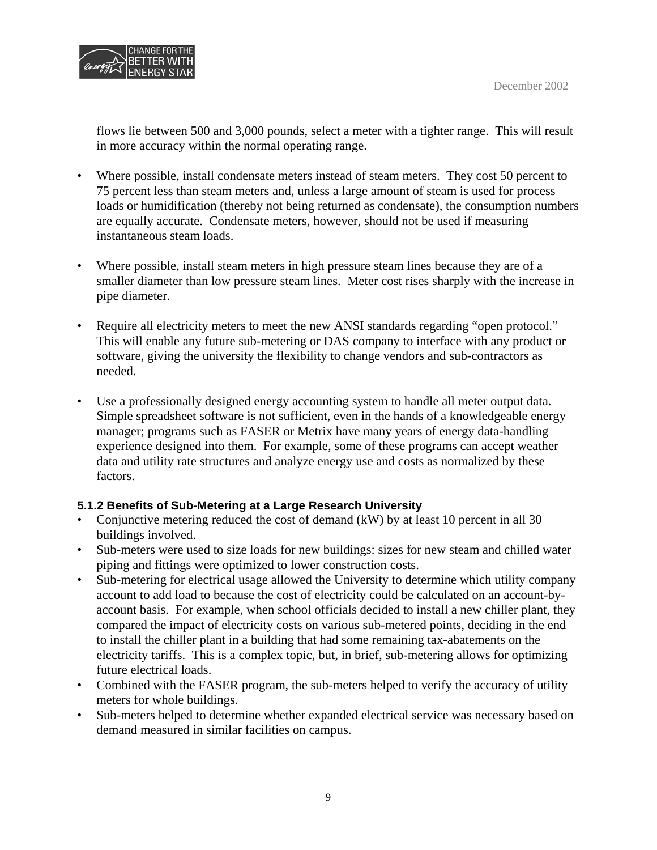

flows lie between 500 and 3,000 pounds, select a meter with a tighter range. This will result in more accuracy within the normal operating range.

- Where possible, install condensate meters instead of steam meters. They cost 50 percent to 75 percent less than steam meters and, unless a large amount of steam is used for process loads or humidification (thereby not being returned as condensate), the consumption numbers are equally accurate. Condensate meters, however, should not be used if measuring instantaneous steam loads.
- Where possible, install steam meters in high pressure steam lines because they are of a smaller diameter than low pressure steam lines. Meter cost rises sharply with the increase in pipe diameter.
- Require all electricity meters to meet the new ANSI standards regarding "open protocol." This will enable any future sub-metering or DAS company to interface with any product or software, giving the university the flexibility to change vendors and sub-contractors as needed.
- Use a professionally designed energy accounting system to handle all meter output data. Simple spreadsheet software is not sufficient, even in the hands of a knowledgeable energy manager; programs such as FASER or Metrix have many years of energy data-handling experience designed into them. For example, some of these programs can accept weather data and utility rate structures and analyze energy use and costs as normalized by these factors.

#### **5.1.2 Benefits of Sub-Metering at a Large Research University**

- Conjunctive metering reduced the cost of demand (kW) by at least 10 percent in all 30 buildings involved.
- Sub-meters were used to size loads for new buildings: sizes for new steam and chilled water piping and fittings were optimized to lower construction costs.
- Sub-metering for electrical usage allowed the University to determine which utility company account to add load to because the cost of electricity could be calculated on an account-byaccount basis. For example, when school officials decided to install a new chiller plant, they compared the impact of electricity costs on various sub-metered points, deciding in the end to install the chiller plant in a building that had some remaining tax-abatements on the electricity tariffs. This is a complex topic, but, in brief, sub-metering allows for optimizing future electrical loads.
- Combined with the FASER program, the sub-meters helped to verify the accuracy of utility meters for whole buildings.
- Sub-meters helped to determine whether expanded electrical service was necessary based on demand measured in similar facilities on campus.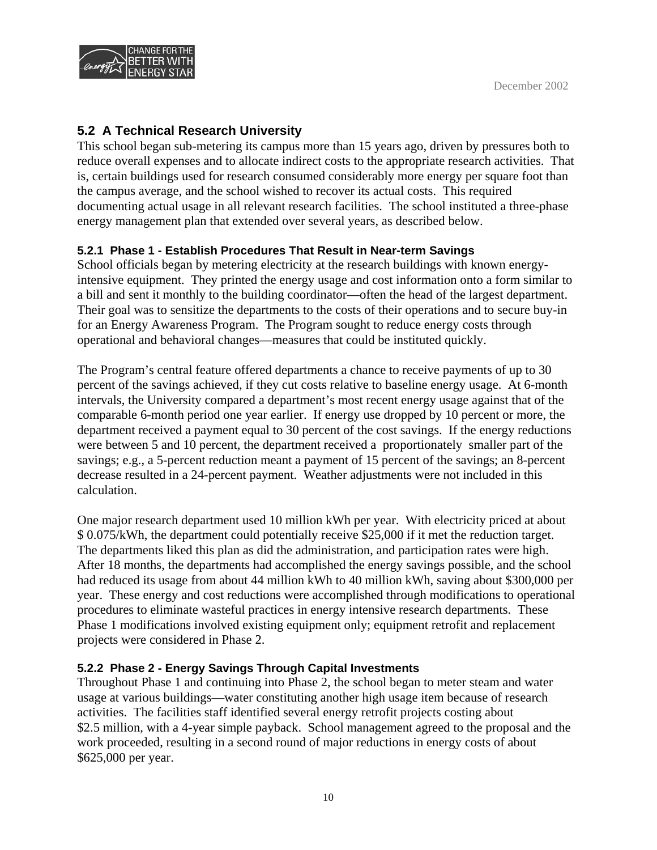

## **5.2 A Technical Research University**

This school began sub-metering its campus more than 15 years ago, driven by pressures both to reduce overall expenses and to allocate indirect costs to the appropriate research activities. That is, certain buildings used for research consumed considerably more energy per square foot than the campus average, and the school wished to recover its actual costs. This required documenting actual usage in all relevant research facilities. The school instituted a three-phase energy management plan that extended over several years, as described below.

### **5.2.1 Phase 1 - Establish Procedures That Result in Near-term Savings**

School officials began by metering electricity at the research buildings with known energyintensive equipment. They printed the energy usage and cost information onto a form similar to a bill and sent it monthly to the building coordinator—often the head of the largest department. Their goal was to sensitize the departments to the costs of their operations and to secure buy-in for an Energy Awareness Program. The Program sought to reduce energy costs through operational and behavioral changes—measures that could be instituted quickly.

The Program's central feature offered departments a chance to receive payments of up to 30 percent of the savings achieved, if they cut costs relative to baseline energy usage. At 6-month intervals, the University compared a department's most recent energy usage against that of the comparable 6-month period one year earlier. If energy use dropped by 10 percent or more, the department received a payment equal to 30 percent of the cost savings. If the energy reductions were between 5 and 10 percent, the department received a proportionately smaller part of the savings; e.g., a 5-percent reduction meant a payment of 15 percent of the savings; an 8-percent decrease resulted in a 24-percent payment. Weather adjustments were not included in this calculation.

One major research department used 10 million kWh per year. With electricity priced at about \$ 0.075/kWh, the department could potentially receive \$25,000 if it met the reduction target. The departments liked this plan as did the administration, and participation rates were high. After 18 months, the departments had accomplished the energy savings possible, and the school had reduced its usage from about 44 million kWh to 40 million kWh, saving about \$300,000 per year. These energy and cost reductions were accomplished through modifications to operational procedures to eliminate wasteful practices in energy intensive research departments. These Phase 1 modifications involved existing equipment only; equipment retrofit and replacement projects were considered in Phase 2.

#### **5.2.2 Phase 2 - Energy Savings Through Capital Investments**

Throughout Phase 1 and continuing into Phase 2, the school began to meter steam and water usage at various buildings—water constituting another high usage item because of research activities. The facilities staff identified several energy retrofit projects costing about \$2.5 million, with a 4-year simple payback. School management agreed to the proposal and the work proceeded, resulting in a second round of major reductions in energy costs of about \$625,000 per year.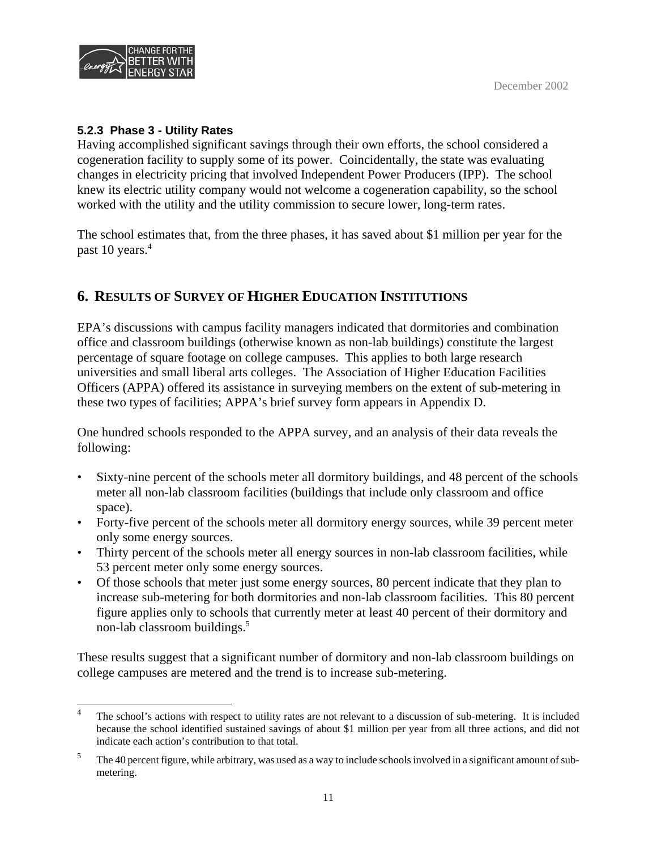

#### **5.2.3 Phase 3 - Utility Rates**

Having accomplished significant savings through their own efforts, the school considered a cogeneration facility to supply some of its power. Coincidentally, the state was evaluating changes in electricity pricing that involved Independent Power Producers (IPP). The school knew its electric utility company would not welcome a cogeneration capability, so the school worked with the utility and the utility commission to secure lower, long-term rates.

The school estimates that, from the three phases, it has saved about \$1 million per year for the past 10 years.<sup>4</sup>

## **6. RESULTS OF SURVEY OF HIGHER EDUCATION INSTITUTIONS**

EPA's discussions with campus facility managers indicated that dormitories and combination office and classroom buildings (otherwise known as non-lab buildings) constitute the largest percentage of square footage on college campuses. This applies to both large research universities and small liberal arts colleges. The Association of Higher Education Facilities Officers (APPA) offered its assistance in surveying members on the extent of sub-metering in these two types of facilities; APPA's brief survey form appears in Appendix D.

One hundred schools responded to the APPA survey, and an analysis of their data reveals the following:

- Sixty-nine percent of the schools meter all dormitory buildings, and 48 percent of the schools meter all non-lab classroom facilities (buildings that include only classroom and office space).
- Forty-five percent of the schools meter all dormitory energy sources, while 39 percent meter only some energy sources.
- Thirty percent of the schools meter all energy sources in non-lab classroom facilities, while 53 percent meter only some energy sources.
- Of those schools that meter just some energy sources, 80 percent indicate that they plan to increase sub-metering for both dormitories and non-lab classroom facilities. This 80 percent figure applies only to schools that currently meter at least 40 percent of their dormitory and non-lab classroom buildings.5

These results suggest that a significant number of dormitory and non-lab classroom buildings on college campuses are metered and the trend is to increase sub-metering.

<sup>&</sup>lt;sup>4</sup> The school's actions with respect to utility rates are not relevant to a discussion of sub-metering. It is included because the school identified sustained savings of about \$1 million per year from all three actions, and did not indicate each action's contribution to that total.

<sup>&</sup>lt;sup>5</sup> The 40 percent figure, while arbitrary, was used as a way to include schools involved in a significant amount of submetering.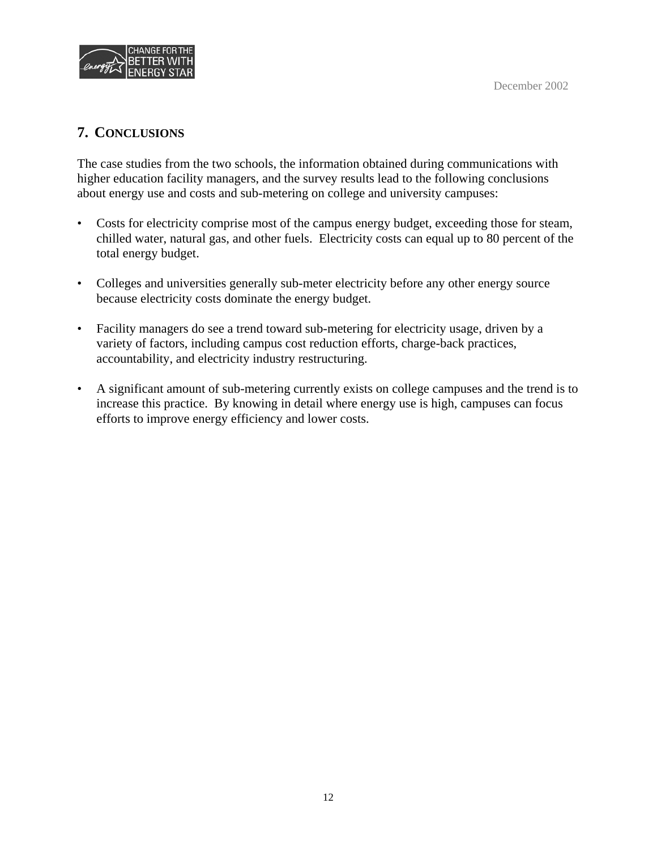

### **7. CONCLUSIONS**

The case studies from the two schools, the information obtained during communications with higher education facility managers, and the survey results lead to the following conclusions about energy use and costs and sub-metering on college and university campuses:

- Costs for electricity comprise most of the campus energy budget, exceeding those for steam, chilled water, natural gas, and other fuels. Electricity costs can equal up to 80 percent of the total energy budget.
- Colleges and universities generally sub-meter electricity before any other energy source because electricity costs dominate the energy budget.
- Facility managers do see a trend toward sub-metering for electricity usage, driven by a variety of factors, including campus cost reduction efforts, charge-back practices, accountability, and electricity industry restructuring.
- A significant amount of sub-metering currently exists on college campuses and the trend is to increase this practice. By knowing in detail where energy use is high, campuses can focus efforts to improve energy efficiency and lower costs.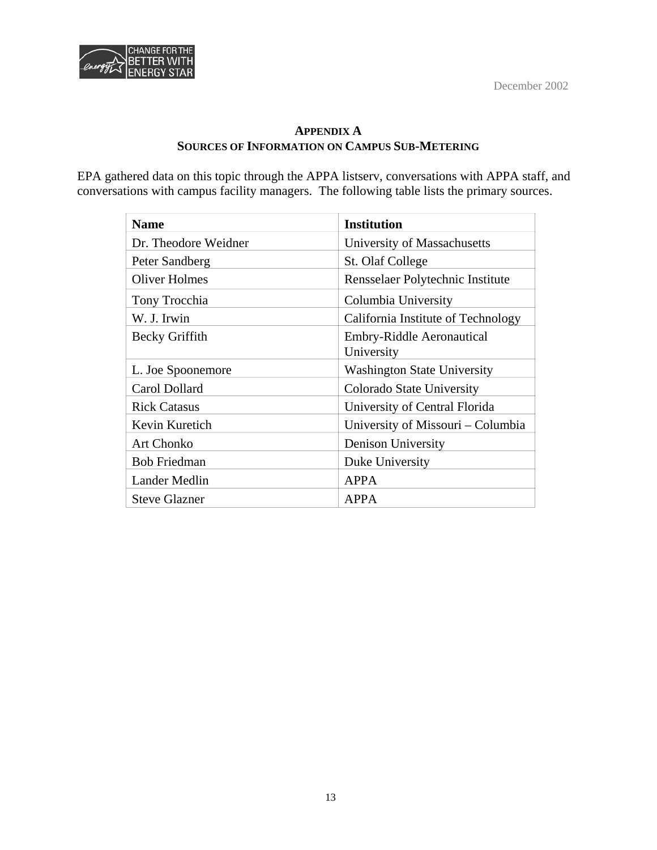

#### **APPENDIX A SOURCES OF INFORMATION ON CAMPUS SUB-METERING**

EPA gathered data on this topic through the APPA listserv, conversations with APPA staff, and conversations with campus facility managers. The following table lists the primary sources.

| <b>Name</b>          | <b>Institution</b>                             |
|----------------------|------------------------------------------------|
| Dr. Theodore Weidner | University of Massachusetts                    |
| Peter Sandberg       | St. Olaf College                               |
| <b>Oliver Holmes</b> | Rensselaer Polytechnic Institute               |
| Tony Trocchia        | Columbia University                            |
| W. J. Irwin          | California Institute of Technology             |
| Becky Griffith       | <b>Embry-Riddle Aeronautical</b><br>University |
| L. Joe Spoonemore    | <b>Washington State University</b>             |
| Carol Dollard        | Colorado State University                      |
| <b>Rick Catasus</b>  | University of Central Florida                  |
| Kevin Kuretich       | University of Missouri – Columbia              |
| <b>Art Chonko</b>    | Denison University                             |
| <b>Bob Friedman</b>  | Duke University                                |
| Lander Medlin        | <b>APPA</b>                                    |
| <b>Steve Glazner</b> | APPA                                           |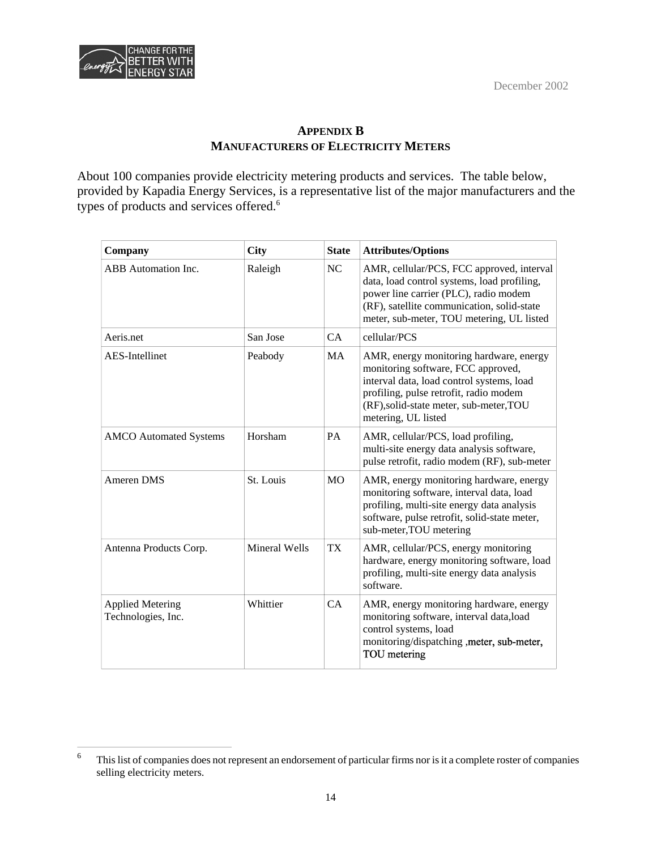December 2002



#### **APPENDIX B MANUFACTURERS OF ELECTRICITY METERS**

About 100 companies provide electricity metering products and services. The table below, provided by Kapadia Energy Services, is a representative list of the major manufacturers and the types of products and services offered.<sup>6</sup>

| Company                                       | <b>City</b>   | <b>State</b>   | <b>Attributes/Options</b>                                                                                                                                                                                                              |
|-----------------------------------------------|---------------|----------------|----------------------------------------------------------------------------------------------------------------------------------------------------------------------------------------------------------------------------------------|
| <b>ABB</b> Automation Inc.                    | Raleigh       | NC             | AMR, cellular/PCS, FCC approved, interval<br>data, load control systems, load profiling,<br>power line carrier (PLC), radio modem<br>(RF), satellite communication, solid-state<br>meter, sub-meter, TOU metering, UL listed           |
| Aeris.net                                     | San Jose      | CA             | cellular/PCS                                                                                                                                                                                                                           |
| <b>AES-Intellinet</b>                         | Peabody       | <b>MA</b>      | AMR, energy monitoring hardware, energy<br>monitoring software, FCC approved,<br>interval data, load control systems, load<br>profiling, pulse retrofit, radio modem<br>(RF), solid-state meter, sub-meter, TOU<br>metering, UL listed |
| <b>AMCO</b> Automated Systems                 | Horsham       | <b>PA</b>      | AMR, cellular/PCS, load profiling,<br>multi-site energy data analysis software,<br>pulse retrofit, radio modem (RF), sub-meter                                                                                                         |
| Ameren DMS                                    | St. Louis     | M <sub>O</sub> | AMR, energy monitoring hardware, energy<br>monitoring software, interval data, load<br>profiling, multi-site energy data analysis<br>software, pulse retrofit, solid-state meter,<br>sub-meter, TOU metering                           |
| Antenna Products Corp.                        | Mineral Wells | TX             | AMR, cellular/PCS, energy monitoring<br>hardware, energy monitoring software, load<br>profiling, multi-site energy data analysis<br>software.                                                                                          |
| <b>Applied Metering</b><br>Technologies, Inc. | Whittier      | CA             | AMR, energy monitoring hardware, energy<br>monitoring software, interval data, load<br>control systems, load<br>monitoring/dispatching , meter, sub-meter,<br>TOU metering                                                             |

This list of companies does not represent an endorsement of particular firms nor is it a complete roster of companies selling electricity meters. 6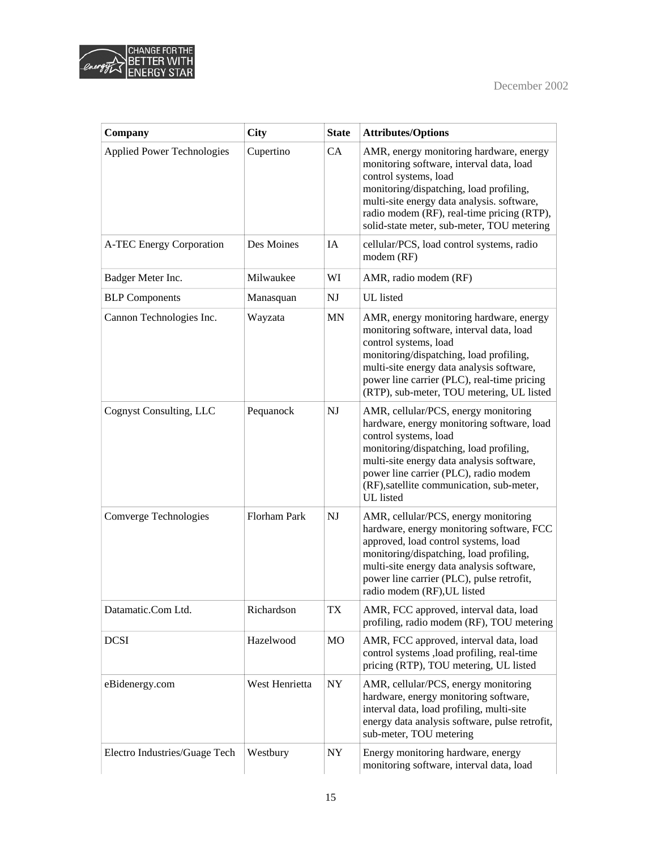



| Company                           | <b>City</b>    | <b>State</b> | <b>Attributes/Options</b>                                                                                                                                                                                                                                                                              |
|-----------------------------------|----------------|--------------|--------------------------------------------------------------------------------------------------------------------------------------------------------------------------------------------------------------------------------------------------------------------------------------------------------|
| <b>Applied Power Technologies</b> | Cupertino      | CA           | AMR, energy monitoring hardware, energy<br>monitoring software, interval data, load<br>control systems, load<br>monitoring/dispatching, load profiling,<br>multi-site energy data analysis. software,<br>radio modem (RF), real-time pricing (RTP),<br>solid-state meter, sub-meter, TOU metering      |
| A-TEC Energy Corporation          | Des Moines     | IA           | cellular/PCS, load control systems, radio<br>modem (RF)                                                                                                                                                                                                                                                |
| Badger Meter Inc.                 | Milwaukee      | WI           | AMR, radio modem (RF)                                                                                                                                                                                                                                                                                  |
| <b>BLP</b> Components             | Manasquan      | NJ           | <b>UL</b> listed                                                                                                                                                                                                                                                                                       |
| Cannon Technologies Inc.          | Wayzata        | <b>MN</b>    | AMR, energy monitoring hardware, energy<br>monitoring software, interval data, load<br>control systems, load<br>monitoring/dispatching, load profiling,<br>multi-site energy data analysis software,<br>power line carrier (PLC), real-time pricing<br>(RTP), sub-meter, TOU metering, UL listed       |
| Cognyst Consulting, LLC           | Pequanock      | NJ           | AMR, cellular/PCS, energy monitoring<br>hardware, energy monitoring software, load<br>control systems, load<br>monitoring/dispatching, load profiling,<br>multi-site energy data analysis software,<br>power line carrier (PLC), radio modem<br>(RF), satellite communication, sub-meter,<br>UL listed |
| Comverge Technologies             | Florham Park   | NJ           | AMR, cellular/PCS, energy monitoring<br>hardware, energy monitoring software, FCC<br>approved, load control systems, load<br>monitoring/dispatching, load profiling,<br>multi-site energy data analysis software,<br>power line carrier (PLC), pulse retrofit,<br>radio modem (RF), UL listed          |
| Datamatic.Com Ltd.                | Richardson     | TX           | AMR, FCC approved, interval data, load<br>profiling, radio modem (RF), TOU metering                                                                                                                                                                                                                    |
| <b>DCSI</b>                       | Hazelwood      | <b>MO</b>    | AMR, FCC approved, interval data, load<br>control systems , load profiling, real-time<br>pricing (RTP), TOU metering, UL listed                                                                                                                                                                        |
| eBidenergy.com                    | West Henrietta | ${\rm NY}$   | AMR, cellular/PCS, energy monitoring<br>hardware, energy monitoring software,<br>interval data, load profiling, multi-site<br>energy data analysis software, pulse retrofit,<br>sub-meter, TOU metering                                                                                                |
| Electro Industries/Guage Tech     | Westbury       | NY           | Energy monitoring hardware, energy<br>monitoring software, interval data, load                                                                                                                                                                                                                         |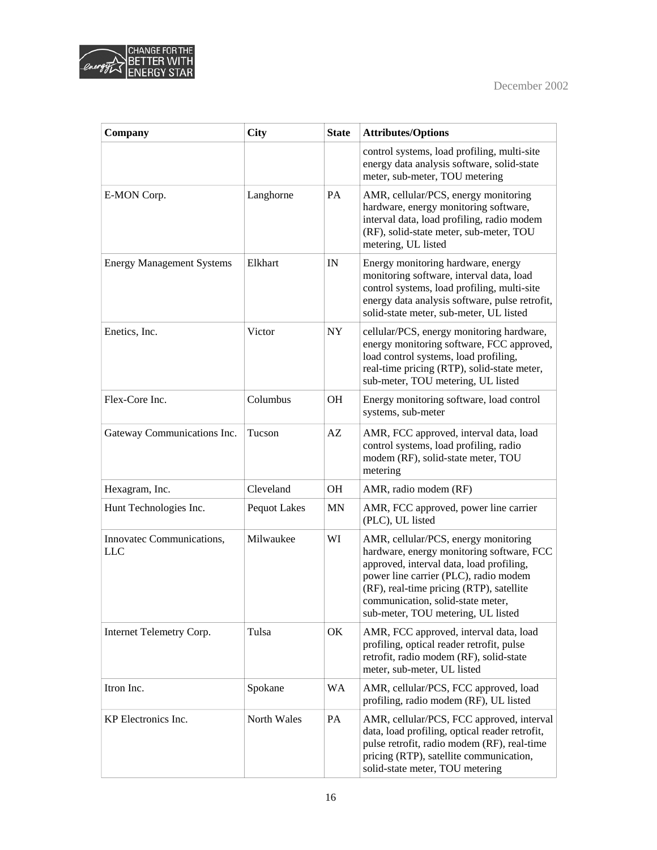



| Company                                 | <b>City</b>         | <b>State</b> | <b>Attributes/Options</b>                                                                                                                                                                                                                                                                     |
|-----------------------------------------|---------------------|--------------|-----------------------------------------------------------------------------------------------------------------------------------------------------------------------------------------------------------------------------------------------------------------------------------------------|
|                                         |                     |              | control systems, load profiling, multi-site<br>energy data analysis software, solid-state<br>meter, sub-meter, TOU metering                                                                                                                                                                   |
| E-MON Corp.                             | Langhorne           | PA           | AMR, cellular/PCS, energy monitoring<br>hardware, energy monitoring software,<br>interval data, load profiling, radio modem<br>(RF), solid-state meter, sub-meter, TOU<br>metering, UL listed                                                                                                 |
| <b>Energy Management Systems</b>        | Elkhart             | IN           | Energy monitoring hardware, energy<br>monitoring software, interval data, load<br>control systems, load profiling, multi-site<br>energy data analysis software, pulse retrofit,<br>solid-state meter, sub-meter, UL listed                                                                    |
| Enetics, Inc.                           | Victor              | <b>NY</b>    | cellular/PCS, energy monitoring hardware,<br>energy monitoring software, FCC approved,<br>load control systems, load profiling,<br>real-time pricing (RTP), solid-state meter,<br>sub-meter, TOU metering, UL listed                                                                          |
| Flex-Core Inc.                          | Columbus            | <b>OH</b>    | Energy monitoring software, load control<br>systems, sub-meter                                                                                                                                                                                                                                |
| Gateway Communications Inc.             | Tucson              | AZ           | AMR, FCC approved, interval data, load<br>control systems, load profiling, radio<br>modem (RF), solid-state meter, TOU<br>metering                                                                                                                                                            |
| Hexagram, Inc.                          | Cleveland           | <b>OH</b>    | AMR, radio modem (RF)                                                                                                                                                                                                                                                                         |
| Hunt Technologies Inc.                  | <b>Pequot Lakes</b> | <b>MN</b>    | AMR, FCC approved, power line carrier<br>(PLC), UL listed                                                                                                                                                                                                                                     |
| Innovatec Communications,<br><b>LLC</b> | Milwaukee           | WI           | AMR, cellular/PCS, energy monitoring<br>hardware, energy monitoring software, FCC<br>approved, interval data, load profiling,<br>power line carrier (PLC), radio modem<br>(RF), real-time pricing (RTP), satellite<br>communication, solid-state meter,<br>sub-meter, TOU metering, UL listed |
| Internet Telemetry Corp.                | Tulsa               | OK           | AMR, FCC approved, interval data, load<br>profiling, optical reader retrofit, pulse<br>retrofit, radio modem (RF), solid-state<br>meter, sub-meter, UL listed                                                                                                                                 |
| Itron Inc.                              | Spokane             | <b>WA</b>    | AMR, cellular/PCS, FCC approved, load<br>profiling, radio modem (RF), UL listed                                                                                                                                                                                                               |
| KP Electronics Inc.                     | North Wales         | PA           | AMR, cellular/PCS, FCC approved, interval<br>data, load profiling, optical reader retrofit,<br>pulse retrofit, radio modem (RF), real-time<br>pricing (RTP), satellite communication,<br>solid-state meter, TOU metering                                                                      |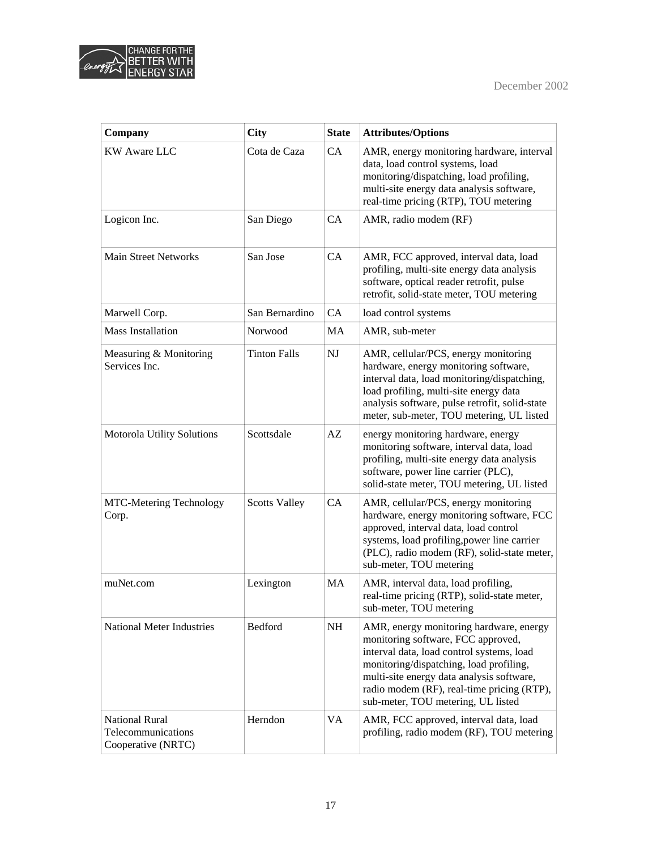

| Company                                                           | <b>City</b>          | <b>State</b> | <b>Attributes/Options</b>                                                                                                                                                                                                                                                                              |
|-------------------------------------------------------------------|----------------------|--------------|--------------------------------------------------------------------------------------------------------------------------------------------------------------------------------------------------------------------------------------------------------------------------------------------------------|
| <b>KW Aware LLC</b>                                               | Cota de Caza         | CA           | AMR, energy monitoring hardware, interval<br>data, load control systems, load<br>monitoring/dispatching, load profiling,<br>multi-site energy data analysis software,<br>real-time pricing (RTP), TOU metering                                                                                         |
| Logicon Inc.                                                      | San Diego            | CA           | AMR, radio modem (RF)                                                                                                                                                                                                                                                                                  |
| <b>Main Street Networks</b>                                       | San Jose             | CA           | AMR, FCC approved, interval data, load<br>profiling, multi-site energy data analysis<br>software, optical reader retrofit, pulse<br>retrofit, solid-state meter, TOU metering                                                                                                                          |
| Marwell Corp.                                                     | San Bernardino       | <b>CA</b>    | load control systems                                                                                                                                                                                                                                                                                   |
| <b>Mass Installation</b>                                          | Norwood              | MA           | AMR, sub-meter                                                                                                                                                                                                                                                                                         |
| Measuring & Monitoring<br>Services Inc.                           | <b>Tinton Falls</b>  | NJ           | AMR, cellular/PCS, energy monitoring<br>hardware, energy monitoring software,<br>interval data, load monitoring/dispatching,<br>load profiling, multi-site energy data<br>analysis software, pulse retrofit, solid-state<br>meter, sub-meter, TOU metering, UL listed                                  |
| Motorola Utility Solutions                                        | Scottsdale           | AZ           | energy monitoring hardware, energy<br>monitoring software, interval data, load<br>profiling, multi-site energy data analysis<br>software, power line carrier (PLC),<br>solid-state meter, TOU metering, UL listed                                                                                      |
| <b>MTC-Metering Technology</b><br>Corp.                           | <b>Scotts Valley</b> | CA           | AMR, cellular/PCS, energy monitoring<br>hardware, energy monitoring software, FCC<br>approved, interval data, load control<br>systems, load profiling, power line carrier<br>(PLC), radio modem (RF), solid-state meter,<br>sub-meter, TOU metering                                                    |
| muNet.com                                                         | Lexington            | <b>MA</b>    | AMR, interval data, load profiling,<br>real-time pricing (RTP), solid-state meter,<br>sub-meter, TOU metering                                                                                                                                                                                          |
| <b>National Meter Industries</b>                                  | Bedford              | NH           | AMR, energy monitoring hardware, energy<br>monitoring software, FCC approved,<br>interval data, load control systems, load<br>monitoring/dispatching, load profiling,<br>multi-site energy data analysis software,<br>radio modem (RF), real-time pricing (RTP),<br>sub-meter, TOU metering, UL listed |
| <b>National Rural</b><br>Telecommunications<br>Cooperative (NRTC) | Herndon              | VA           | AMR, FCC approved, interval data, load<br>profiling, radio modem (RF), TOU metering                                                                                                                                                                                                                    |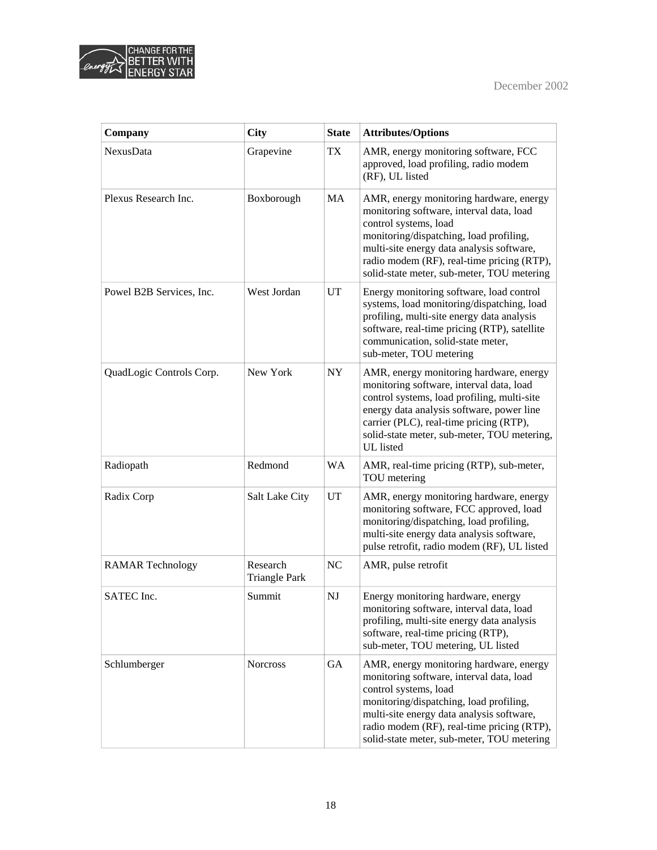



| Company                  | <b>City</b>                      | <b>State</b> | <b>Attributes/Options</b>                                                                                                                                                                                                                                                                        |
|--------------------------|----------------------------------|--------------|--------------------------------------------------------------------------------------------------------------------------------------------------------------------------------------------------------------------------------------------------------------------------------------------------|
| <b>NexusData</b>         | Grapevine                        | TX           | AMR, energy monitoring software, FCC<br>approved, load profiling, radio modem<br>(RF), UL listed                                                                                                                                                                                                 |
| Plexus Research Inc.     | Boxborough                       | MA           | AMR, energy monitoring hardware, energy<br>monitoring software, interval data, load<br>control systems, load<br>monitoring/dispatching, load profiling,<br>multi-site energy data analysis software,<br>radio modem (RF), real-time pricing (RTP),<br>solid-state meter, sub-meter, TOU metering |
| Powel B2B Services, Inc. | West Jordan                      | UT           | Energy monitoring software, load control<br>systems, load monitoring/dispatching, load<br>profiling, multi-site energy data analysis<br>software, real-time pricing (RTP), satellite<br>communication, solid-state meter,<br>sub-meter, TOU metering                                             |
| QuadLogic Controls Corp. | New York                         | NY           | AMR, energy monitoring hardware, energy<br>monitoring software, interval data, load<br>control systems, load profiling, multi-site<br>energy data analysis software, power line<br>carrier (PLC), real-time pricing (RTP),<br>solid-state meter, sub-meter, TOU metering,<br>UL listed           |
| Radiopath                | Redmond                          | <b>WA</b>    | AMR, real-time pricing (RTP), sub-meter,<br>TOU metering                                                                                                                                                                                                                                         |
| Radix Corp               | Salt Lake City                   | UT           | AMR, energy monitoring hardware, energy<br>monitoring software, FCC approved, load<br>monitoring/dispatching, load profiling,<br>multi-site energy data analysis software,<br>pulse retrofit, radio modem (RF), UL listed                                                                        |
| <b>RAMAR Technology</b>  | Research<br><b>Triangle Park</b> | NC           | AMR, pulse retrofit                                                                                                                                                                                                                                                                              |
| SATEC Inc.               | Summit                           | NJ           | Energy monitoring hardware, energy<br>monitoring software, interval data, load<br>profiling, multi-site energy data analysis<br>software, real-time pricing (RTP),<br>sub-meter, TOU metering, UL listed                                                                                         |
| Schlumberger             | <b>Norcross</b>                  | GA           | AMR, energy monitoring hardware, energy<br>monitoring software, interval data, load<br>control systems, load<br>monitoring/dispatching, load profiling,<br>multi-site energy data analysis software,<br>radio modem (RF), real-time pricing (RTP),<br>solid-state meter, sub-meter, TOU metering |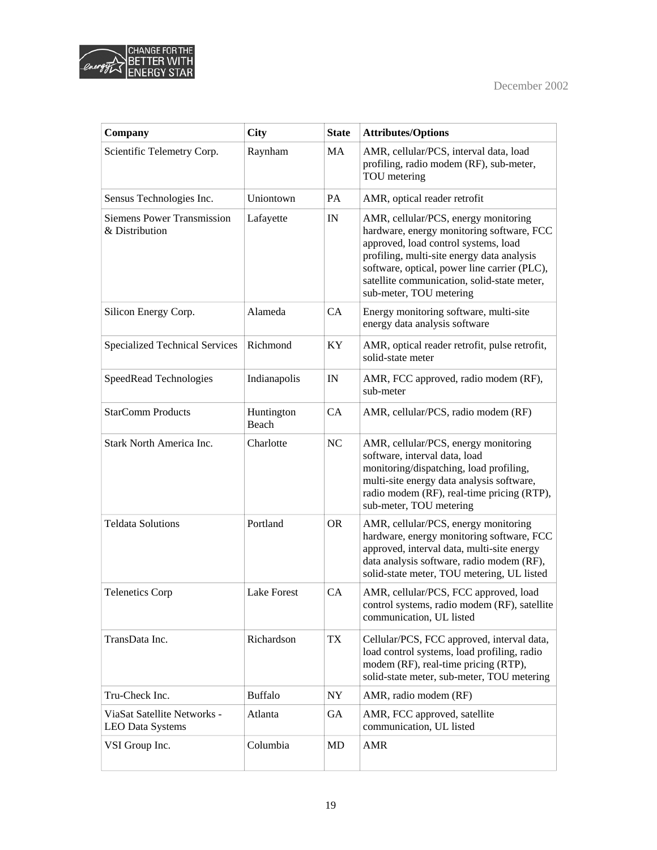



| Company                                                | <b>City</b>         | <b>State</b> | <b>Attributes/Options</b>                                                                                                                                                                                                                                                                         |
|--------------------------------------------------------|---------------------|--------------|---------------------------------------------------------------------------------------------------------------------------------------------------------------------------------------------------------------------------------------------------------------------------------------------------|
| Scientific Telemetry Corp.                             | Raynham             | MA           | AMR, cellular/PCS, interval data, load<br>profiling, radio modem (RF), sub-meter,<br>TOU metering                                                                                                                                                                                                 |
| Sensus Technologies Inc.                               | Uniontown           | PA           | AMR, optical reader retrofit                                                                                                                                                                                                                                                                      |
| <b>Siemens Power Transmission</b><br>& Distribution    | Lafayette           | IN           | AMR, cellular/PCS, energy monitoring<br>hardware, energy monitoring software, FCC<br>approved, load control systems, load<br>profiling, multi-site energy data analysis<br>software, optical, power line carrier (PLC),<br>satellite communication, solid-state meter,<br>sub-meter, TOU metering |
| Silicon Energy Corp.                                   | Alameda             | <b>CA</b>    | Energy monitoring software, multi-site<br>energy data analysis software                                                                                                                                                                                                                           |
| <b>Specialized Technical Services</b>                  | Richmond            | KY           | AMR, optical reader retrofit, pulse retrofit,<br>solid-state meter                                                                                                                                                                                                                                |
| SpeedRead Technologies                                 | Indianapolis        | $_{\rm IN}$  | AMR, FCC approved, radio modem (RF),<br>sub-meter                                                                                                                                                                                                                                                 |
| <b>StarComm Products</b>                               | Huntington<br>Beach | CA           | AMR, cellular/PCS, radio modem (RF)                                                                                                                                                                                                                                                               |
| Stark North America Inc.                               | Charlotte           | NC           | AMR, cellular/PCS, energy monitoring<br>software, interval data, load<br>monitoring/dispatching, load profiling,<br>multi-site energy data analysis software,<br>radio modem (RF), real-time pricing (RTP),<br>sub-meter, TOU metering                                                            |
| <b>Teldata Solutions</b>                               | Portland            | <b>OR</b>    | AMR, cellular/PCS, energy monitoring<br>hardware, energy monitoring software, FCC<br>approved, interval data, multi-site energy<br>data analysis software, radio modem (RF),<br>solid-state meter, TOU metering, UL listed                                                                        |
| <b>Telenetics Corp</b>                                 | <b>Lake Forest</b>  | CA           | AMR, cellular/PCS, FCC approved, load<br>control systems, radio modem (RF), satellite<br>communication, UL listed                                                                                                                                                                                 |
| TransData Inc.                                         | Richardson          | TX           | Cellular/PCS, FCC approved, interval data,<br>load control systems, load profiling, radio<br>modem (RF), real-time pricing (RTP),<br>solid-state meter, sub-meter, TOU metering                                                                                                                   |
| Tru-Check Inc.                                         | <b>Buffalo</b>      | NY           | AMR, radio modem (RF)                                                                                                                                                                                                                                                                             |
| ViaSat Satellite Networks -<br><b>LEO Data Systems</b> | Atlanta             | GA           | AMR, FCC approved, satellite<br>communication, UL listed                                                                                                                                                                                                                                          |
| VSI Group Inc.                                         | Columbia            | MD           | <b>AMR</b>                                                                                                                                                                                                                                                                                        |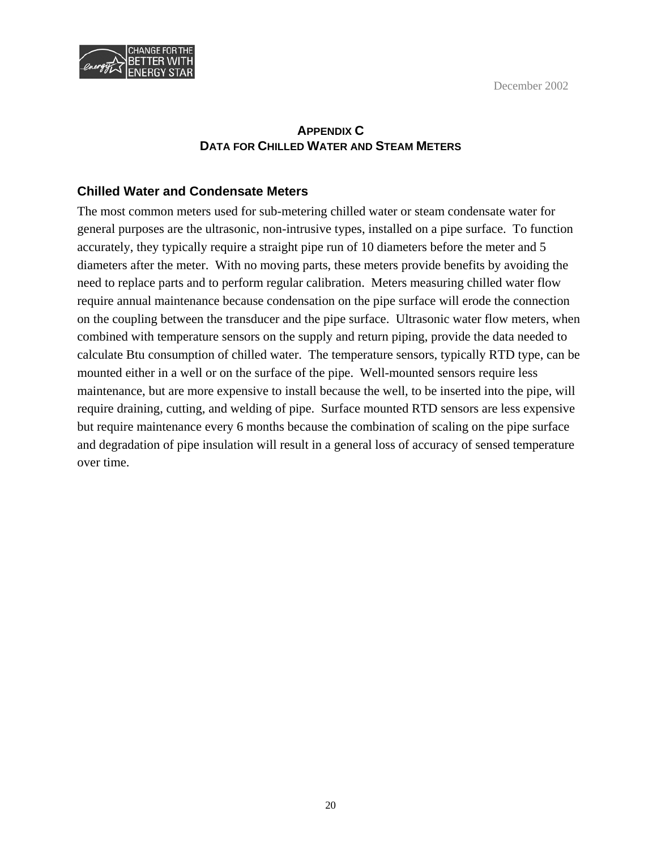December 2002



## **APPENDIX C DATA FOR CHILLED WATER AND STEAM METERS**

#### **Chilled Water and Condensate Meters**

The most common meters used for sub-metering chilled water or steam condensate water for general purposes are the ultrasonic, non-intrusive types, installed on a pipe surface. To function accurately, they typically require a straight pipe run of 10 diameters before the meter and 5 diameters after the meter. With no moving parts, these meters provide benefits by avoiding the need to replace parts and to perform regular calibration. Meters measuring chilled water flow require annual maintenance because condensation on the pipe surface will erode the connection on the coupling between the transducer and the pipe surface. Ultrasonic water flow meters, when combined with temperature sensors on the supply and return piping, provide the data needed to calculate Btu consumption of chilled water. The temperature sensors, typically RTD type, can be mounted either in a well or on the surface of the pipe. Well-mounted sensors require less maintenance, but are more expensive to install because the well, to be inserted into the pipe, will require draining, cutting, and welding of pipe. Surface mounted RTD sensors are less expensive but require maintenance every 6 months because the combination of scaling on the pipe surface and degradation of pipe insulation will result in a general loss of accuracy of sensed temperature over time.